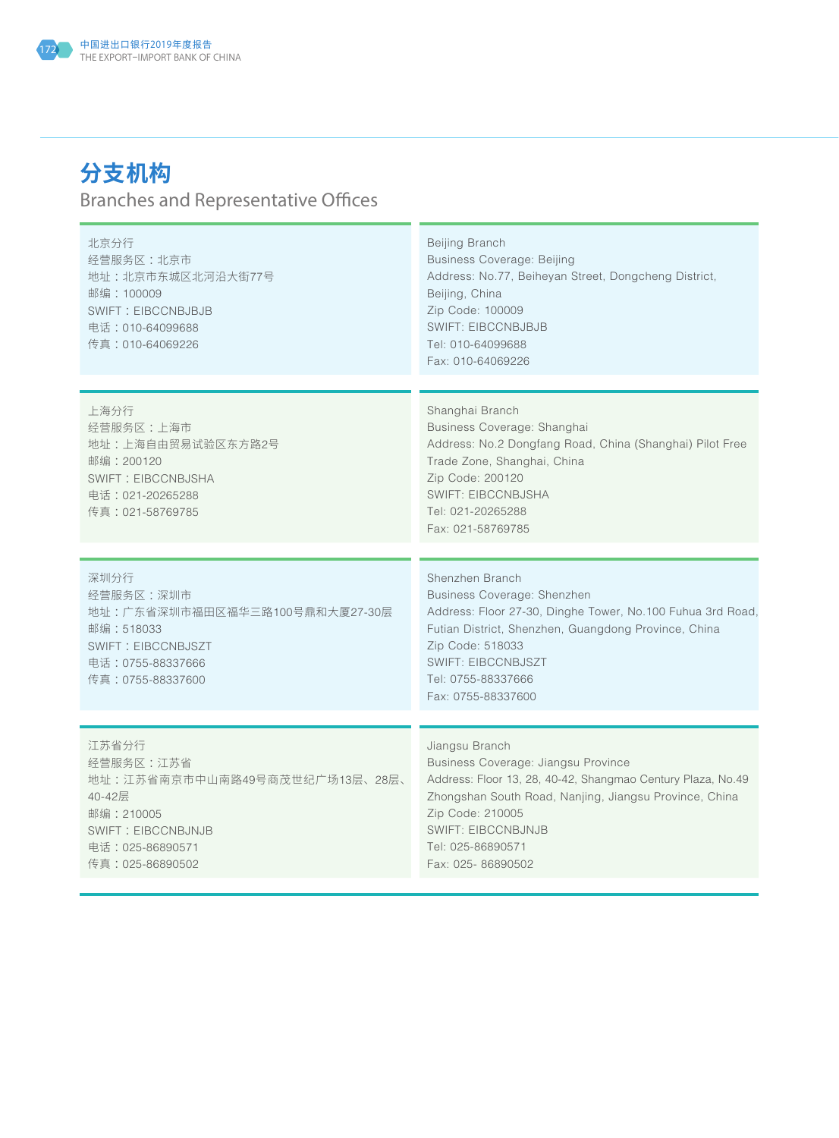

## **分支机构** Branches and Representative Offices

| 北京分行<br>经营服务区:北京市<br>地址: 北京市东城区北河沿大街77号<br>邮编: 100009<br><b>SWIFT: EIBCCNBJBJB</b><br>电话: 010-64099688<br>传真:010-64069226                 | Beijing Branch<br><b>Business Coverage: Beijing</b><br>Address: No.77, Beiheyan Street, Dongcheng District,<br>Beijing, China<br>Zip Code: 100009<br><b>SWIFT: EIBCCNBJBJB</b><br>Tel: 010-64099688<br>Fax: 010-64069226                                                  |
|-------------------------------------------------------------------------------------------------------------------------------------------|---------------------------------------------------------------------------------------------------------------------------------------------------------------------------------------------------------------------------------------------------------------------------|
| 上海分行<br>经营服务区:上海市<br>地址:上海自由贸易试验区东方路2号<br>邮编:200120<br>SWIFT: EIBCCNBJSHA<br>电话: 021-20265288<br>传真:021-58769785                          | Shanghai Branch<br>Business Coverage: Shanghai<br>Address: No.2 Dongfang Road, China (Shanghai) Pilot Free<br>Trade Zone, Shanghai, China<br>Zip Code: 200120<br>SWIFT: EIBCCNBJSHA<br>Tel: 021-20265288<br>Fax: 021-58769785                                             |
| 深圳分行<br>经营服务区:深圳市<br>地址:广东省深圳市福田区福华三路100号鼎和大厦27-30层<br>邮编:518033<br>SWIFT: EIBCCNBJSZT<br>电话:0755-88337666<br>传真:0755-88337600            | Shenzhen Branch<br><b>Business Coverage: Shenzhen</b><br>Address: Floor 27-30, Dinghe Tower, No.100 Fuhua 3rd Road,<br>Futian District, Shenzhen, Guangdong Province, China<br>Zip Code: 518033<br><b>SWIFT: EIBCCNBJSZT</b><br>Tel: 0755-88337666<br>Fax: 0755-88337600  |
| 江苏省分行<br>经营服务区:江苏省<br>地址:江苏省南京市中山南路49号商茂世纪广场13层、28层、<br>40-42层<br>邮编: 210005<br>SWIFT: EIBCCNBJNJB<br>电话: 025-86890571<br>传真:025-86890502 | Jiangsu Branch<br>Business Coverage: Jiangsu Province<br>Address: Floor 13, 28, 40-42, Shangmao Century Plaza, No.49<br>Zhongshan South Road, Nanjing, Jiangsu Province, China<br>Zip Code: 210005<br><b>SWIFT: EIBCCNBJNJB</b><br>Tel: 025-86890571<br>Fax: 025-86890502 |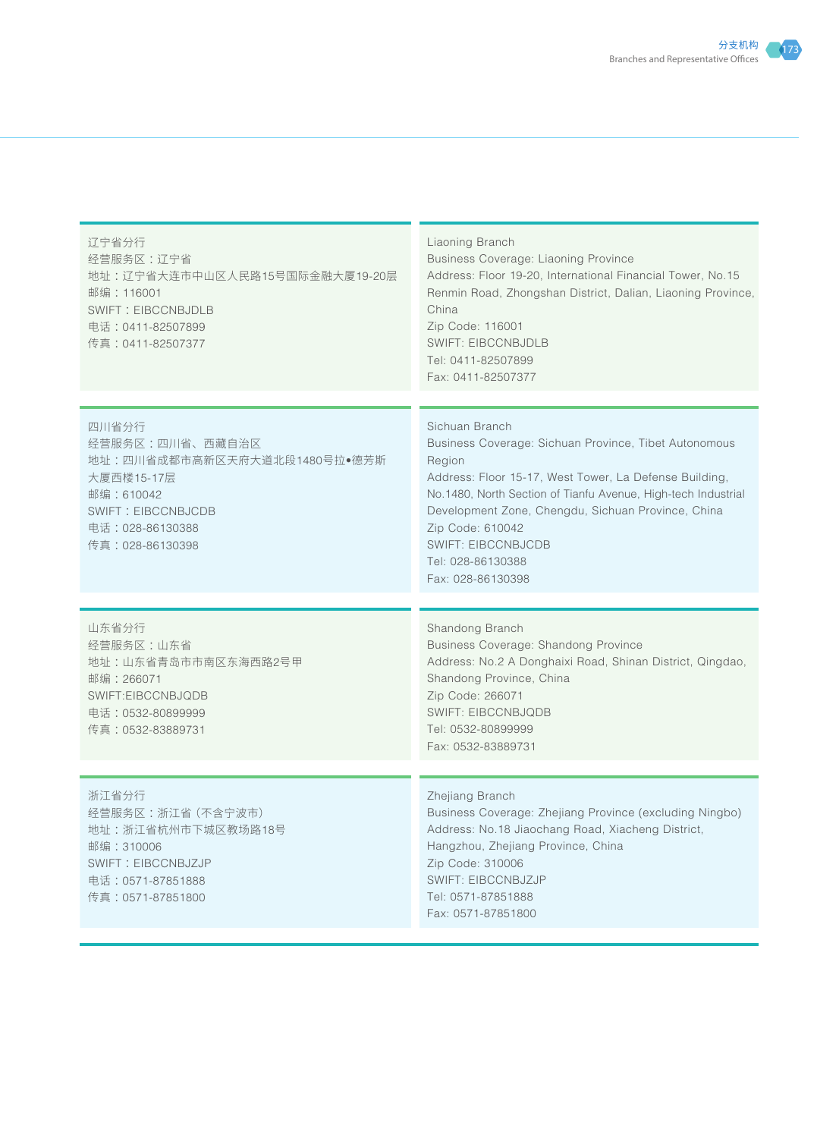| 辽宁省分行<br>经营服务区:辽宁省<br>地址:辽宁省大连市中山区人民路15号国际金融大厦19-20层<br>邮编: 116001<br><b>SWIFT: EIBCCNBJDLB</b><br>电话:0411-82507899<br>传真:0411-82507377                 | Liaoning Branch<br>Business Coverage: Liaoning Province<br>Address: Floor 19-20, International Financial Tower, No.15<br>Renmin Road, Zhongshan District, Dalian, Liaoning Province,<br>China<br>Zip Code: 116001<br><b>SWIFT: EIBCCNBJDLB</b><br>Tel: 0411-82507899<br>Fax: 0411-82507377                                                                    |
|---------------------------------------------------------------------------------------------------------------------------------------------------------|---------------------------------------------------------------------------------------------------------------------------------------------------------------------------------------------------------------------------------------------------------------------------------------------------------------------------------------------------------------|
| 四川省分行<br>经营服务区:四川省、西藏自治区<br>地址:四川省成都市高新区天府大道北段1480号拉●德芳斯<br>大厦西楼15-17层<br>邮编:610042<br><b>SWIFT: EIBCCNBJCDB</b><br>电话: 028-86130388<br>传真:028-86130398 | Sichuan Branch<br>Business Coverage: Sichuan Province, Tibet Autonomous<br>Region<br>Address: Floor 15-17, West Tower, La Defense Building,<br>No.1480, North Section of Tianfu Avenue, High-tech Industrial<br>Development Zone, Chengdu, Sichuan Province, China<br>Zip Code: 610042<br><b>SWIFT: EIBCCNBJCDB</b><br>Tel: 028-86130388<br>Fax: 028-86130398 |
| 山东省分行<br>经营服务区:山东省<br>地址:山东省青岛市市南区东海西路2号甲<br>邮编:266071<br>SWIFT:EIBCCNBJQDB<br>电话:0532-80899999<br>传真:0532-83889731                                     | Shandong Branch<br><b>Business Coverage: Shandong Province</b><br>Address: No.2 A Donghaixi Road, Shinan District, Qingdao,<br>Shandong Province, China<br>Zip Code: 266071<br><b>SWIFT: EIBCCNBJQDB</b><br>Tel: 0532-80899999<br>Fax: 0532-83889731                                                                                                          |
| 浙江省分行<br>经营服务区:浙江省 (不含宁波市)<br>地址:浙江省杭州市下城区教场路18号<br>邮编:310006<br>SWIFT: EIBCCNBJZJP<br>电话:0571-87851888<br>传真:0571-87851800                             | Zhejiang Branch<br>Business Coverage: Zhejiang Province (excluding Ningbo)<br>Address: No.18 Jiaochang Road, Xiacheng District,<br>Hangzhou, Zhejiang Province, China<br>Zip Code: 310006<br><b>SWIFT: EIBCCNBJZJP</b><br>Tel: 0571-87851888<br>Fax: 0571-87851800                                                                                            |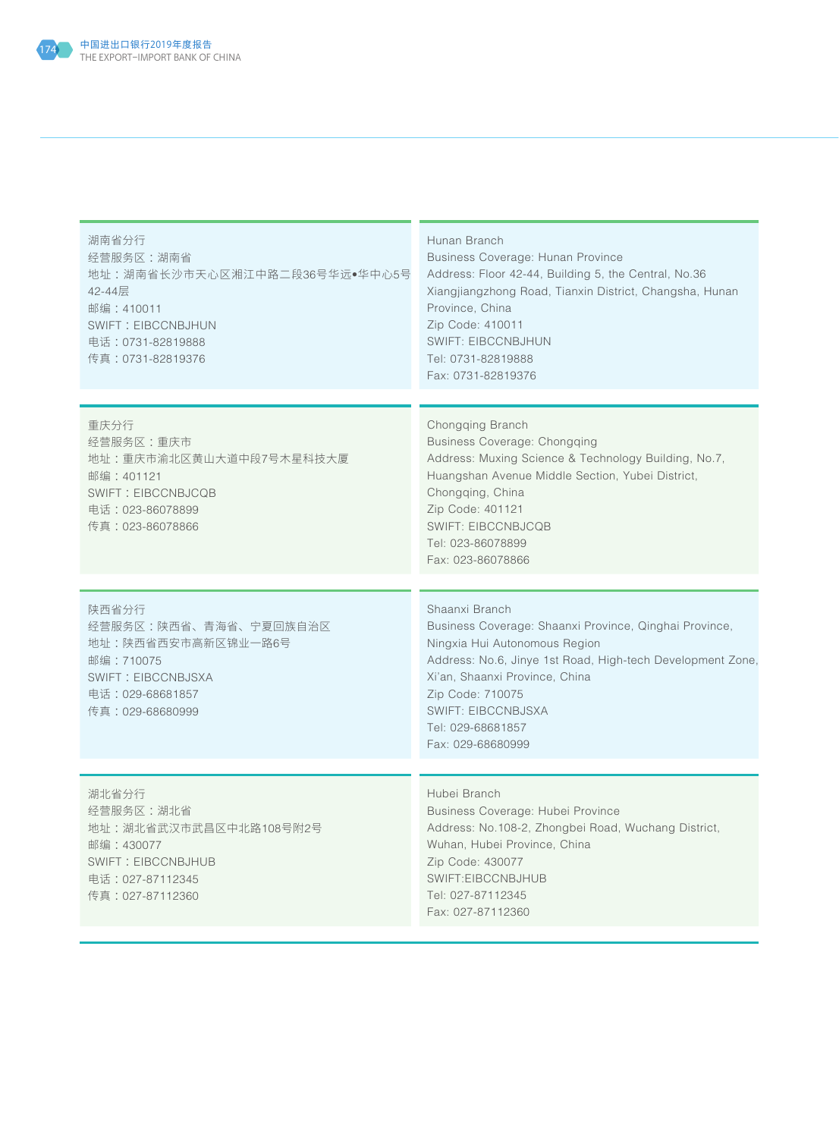

| 湖南省分行<br>经营服务区:湖南省<br>地址:湖南省长沙市天心区湘江中路二段36号华远●华中心5号<br>42-44层<br>邮编: 410011<br><b>SWIFT: EIBCCNBJHUN</b><br>电话: 0731-82819888<br>传真:0731-82819376 | Hunan Branch<br>Business Coverage: Hunan Province<br>Address: Floor 42-44, Building 5, the Central, No.36<br>Xiangjiangzhong Road, Tianxin District, Changsha, Hunan<br>Province, China<br>Zip Code: 410011<br><b>SWIFT: EIBCCNBJHUN</b><br>Tel: 0731-82819888<br>Fax: 0731-82819376                 |
|---------------------------------------------------------------------------------------------------------------------------------------------------|------------------------------------------------------------------------------------------------------------------------------------------------------------------------------------------------------------------------------------------------------------------------------------------------------|
| 重庆分行                                                                                                                                              | Chongqing Branch                                                                                                                                                                                                                                                                                     |
| 经营服务区:重庆市<br>地址:重庆市渝北区黄山大道中段7号木星科技大厦<br>邮编:401121<br><b>SWIFT: EIBCCNBJCQB</b><br>电话: 023-86078899<br>传真:023-86078866                             | <b>Business Coverage: Chongqing</b><br>Address: Muxing Science & Technology Building, No.7,<br>Huangshan Avenue Middle Section, Yubei District,<br>Chongqing, China<br>Zip Code: 401121<br><b>SWIFT: EIBCCNBJCQB</b><br>Tel: 023-86078899<br>Fax: 023-86078866                                       |
|                                                                                                                                                   |                                                                                                                                                                                                                                                                                                      |
| 陕西省分行<br>经营服务区:陕西省、青海省、宁夏回族自治区<br>地址:陕西省西安市高新区锦业一路6号<br>邮编: 710075<br>SWIFT: EIBCCNBJSXA<br>电话: 029-68681857<br>传真: 029-68680999                  | Shaanxi Branch<br>Business Coverage: Shaanxi Province, Qinghai Province,<br>Ningxia Hui Autonomous Region<br>Address: No.6, Jinye 1st Road, High-tech Development Zone,<br>Xi'an, Shaanxi Province, China<br>Zip Code: 710075<br><b>SWIFT: EIBCCNBJSXA</b><br>Tel: 029-68681857<br>Fax: 029-68680999 |
|                                                                                                                                                   | Hubei Branch                                                                                                                                                                                                                                                                                         |
| 湖北省分行<br>经营服务区:湖北省<br>地址:湖北省武汉市武昌区中北路108号附2号<br>邮编:430077<br><b>SWIFT: EIBCCNBJHUB</b><br>电话:027-87112345<br>传真:027-87112360                      | Business Coverage: Hubei Province<br>Address: No.108-2, Zhongbei Road, Wuchang District,<br>Wuhan, Hubei Province, China<br>Zip Code: 430077<br>SWIFT:EIBCCNBJHUB<br>Tel: 027-87112345<br>Fax: 027-87112360                                                                                          |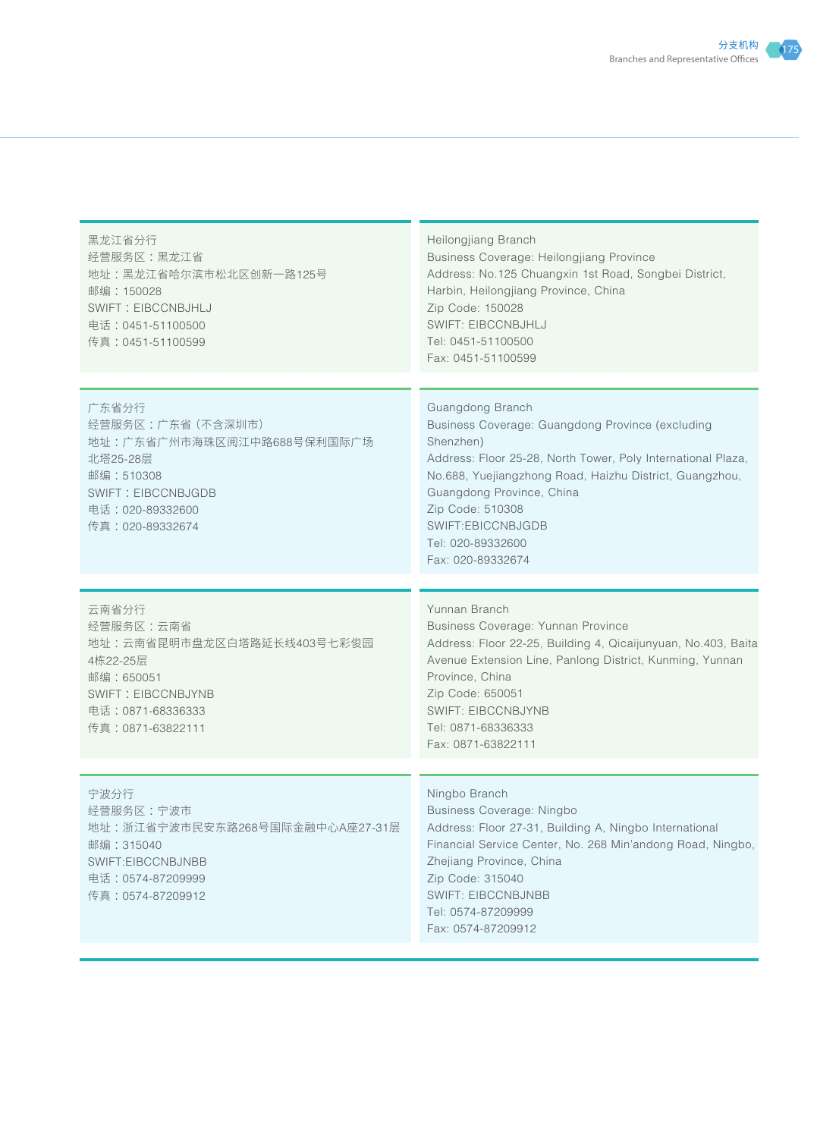| Heilongjiang Branch<br>Business Coverage: Heilongjiang Province<br>Address: No.125 Chuangxin 1st Road, Songbei District,<br>Harbin, Heilongjiang Province, China<br>Zip Code: 150028<br>SWIFT: EIBCCNBJHLJ<br>Tel: 0451-51100500<br>Fax: 0451-51100599                                                                       |
|------------------------------------------------------------------------------------------------------------------------------------------------------------------------------------------------------------------------------------------------------------------------------------------------------------------------------|
| Guangdong Branch<br>Business Coverage: Guangdong Province (excluding<br>Shenzhen)<br>Address: Floor 25-28, North Tower, Poly International Plaza,<br>No.688, Yuejiangzhong Road, Haizhu District, Guangzhou,<br>Guangdong Province, China<br>Zip Code: 510308<br>SWIFT:EBICCNBJGDB<br>Tel: 020-89332600<br>Fax: 020-89332674 |
| Yunnan Branch<br>Business Coverage: Yunnan Province<br>Address: Floor 22-25, Building 4, Qicaijunyuan, No.403, Baita<br>Avenue Extension Line, Panlong District, Kunming, Yunnan<br>Province, China<br>Zip Code: 650051<br><b>SWIFT: EIBCCNBJYNB</b><br>Tel: 0871-68336333<br>Fax: 0871-63822111                             |
| Ningbo Branch<br>Business Coverage: Ningbo<br>Address: Floor 27-31, Building A, Ningbo International<br>Financial Service Center, No. 268 Min'andong Road, Ningbo,<br>Zhejiang Province, China<br>Zip Code: 315040<br><b>SWIFT: EIBCCNBJNBB</b><br>Tel: 0574-87209999<br>Fax: 0574-87209912                                  |
|                                                                                                                                                                                                                                                                                                                              |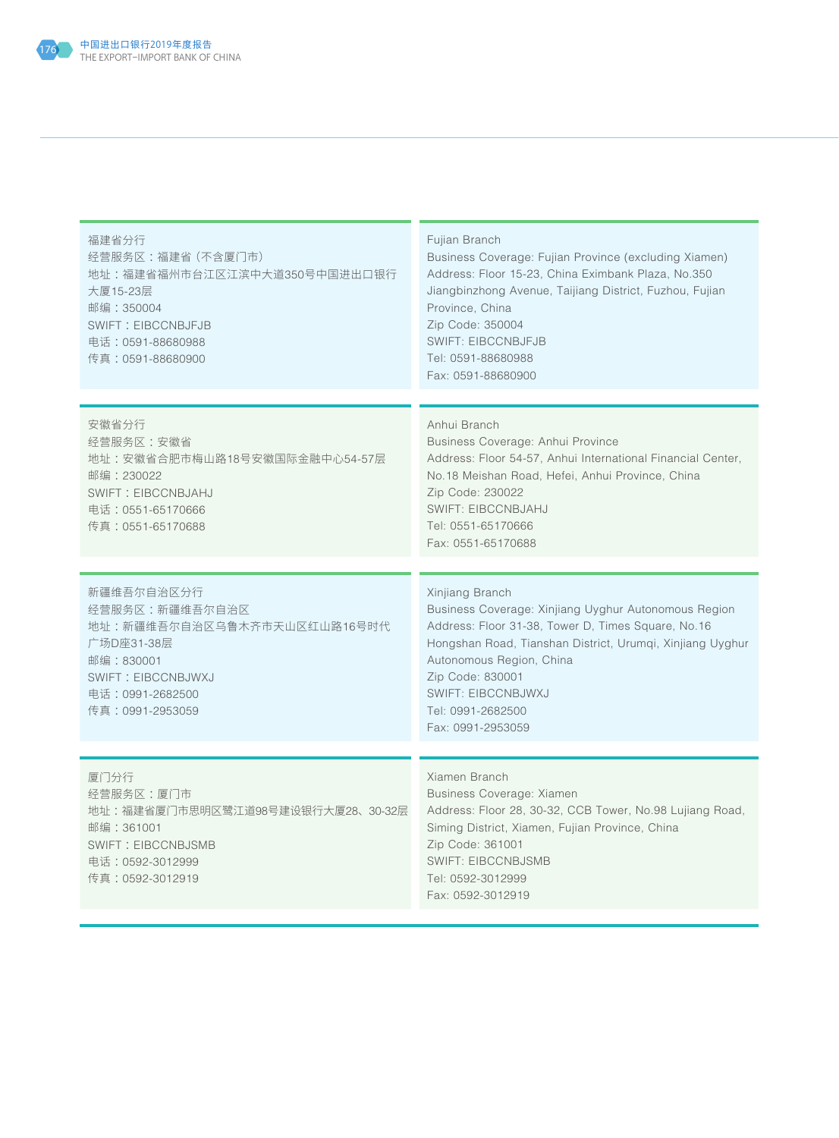

| 福建省分行<br>经营服务区:福建省 (不含厦门市)<br>地址:福建省福州市台江区江滨中大道350号中国进出口银行<br>大厦15-23层<br>邮编: 350004<br><b>SWIFT: EIBCCNBJFJB</b><br>电话:0591-88680988<br>传真:0591-88680900   | Fujian Branch<br>Business Coverage: Fujian Province (excluding Xiamen)<br>Address: Floor 15-23, China Eximbank Plaza, No.350<br>Jiangbinzhong Avenue, Taijiang District, Fuzhou, Fujian<br>Province, China<br>Zip Code: 350004<br><b>SWIFT: EIBCCNBJFJB</b><br>Tel: 0591-88680988<br>Fax: 0591-88680900           |
|-------------------------------------------------------------------------------------------------------------------------------------------------------------|-------------------------------------------------------------------------------------------------------------------------------------------------------------------------------------------------------------------------------------------------------------------------------------------------------------------|
| 安徽省分行<br>经营服务区:安徽省<br>地址:安徽省合肥市梅山路18号安徽国际金融中心54-57层<br>邮编:230022<br>SWIFT: EIBCCNBJAHJ<br>电话: 0551-65170666<br>传真:0551-65170688                             | Anhui Branch<br>Business Coverage: Anhui Province<br>Address: Floor 54-57, Anhui International Financial Center,<br>No.18 Meishan Road, Hefei, Anhui Province, China<br>Zip Code: 230022<br><b>SWIFT: EIBCCNBJAHJ</b><br>Tel: 0551-65170666<br>Fax: 0551-65170688                                                 |
| 新疆维吾尔自治区分行<br>经营服务区:新疆维吾尔自治区<br>地址:新疆维吾尔自治区乌鲁木齐市天山区红山路16号时代<br>广场D座31-38层<br>邮编: 830001<br><b>SWIFT: EIBCCNBJWXJ</b><br>电话: 0991-2682500<br>传真:0991-2953059 | Xinjiang Branch<br>Business Coverage: Xinjiang Uyghur Autonomous Region<br>Address: Floor 31-38, Tower D, Times Square, No.16<br>Hongshan Road, Tianshan District, Urumqi, Xinjiang Uyghur<br>Autonomous Region, China<br>Zip Code: 830001<br><b>SWIFT: EIBCCNBJWXJ</b><br>Tel: 0991-2682500<br>Fax: 0991-2953059 |
| 厦门分行<br>经营服务区:厦门市<br>地址:福建省厦门市思明区鹭江道98号建设银行大厦28、30-32层<br>邮编: 361001<br><b>SWIFT: EIBCCNBJSMB</b><br>电话:0592-3012999<br>传真:0592-3012919                     | Xiamen Branch<br>Business Coverage: Xiamen<br>Address: Floor 28, 30-32, CCB Tower, No.98 Lujiang Road,<br>Siming District, Xiamen, Fujian Province, China<br>Zip Code: 361001<br><b>SWIFT: EIBCCNBJSMB</b><br>Tel: 0592-3012999<br>Fax: 0592-3012919                                                              |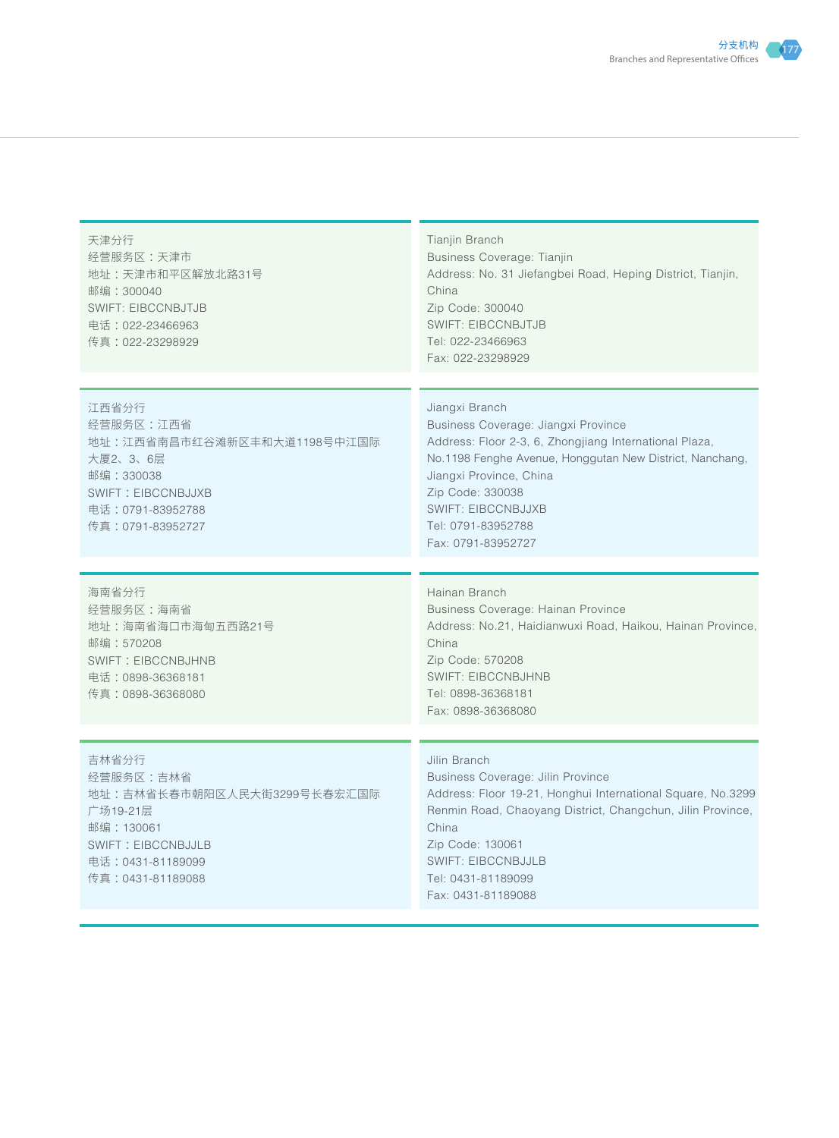

天津分行 经营服务区 :天津市 地址 :天津市和平区解放北路31号 邮编 :300040 SWIFT: EIBCCNBJTJB 电话 :022-23466963 传真 :022-23298929

Tianiin Branch Business Coverage: Tianjin Address: No. 31 Jiefangbei Road, Heping District, Tianjin, China Zip Code: 300040 SWIFT: EIBCCNBJTJB Tel: 022-23466963 Fax: 022-23298929

江西省分行 经营服务区 :江西省 地址 :江西省南昌市红谷滩新区丰和大道1198号中江国际 大厦2、3、6层 邮编 :330038 SWIFT: EIBCCNBJJXB 电话 :0791-83952788 传真 :0791-83952727

海南省分行 经营服务区 :海南省 地址 :海南省海口市海甸五西路21号 邮编 :570208 SWIFT: EIBCCNBJHNB 电话 :0898-36368181 传真 :0898-36368080

Jiangxi Branch Business Coverage: Jiangxi Province Address: Floor 2-3, 6, Zhongjiang International Plaza, No.1198 Fenghe Avenue, Honggutan New District, Nanchang, Jiangxi Province, China Zip Code: 330038 SWIFT: EIBCCNBJJXB Tel: 0791-83952788 Fax: 0791-83952727

Hainan Branch Business Coverage: Hainan Province Address: No.21, Haidianwuxi Road, Haikou, Hainan Province, China Zip Code: 570208 SWIFT: EIBCCNBJHNB Tel: 0898-36368181 Fax: 0898-36368080

吉林省分行 经营服务区 :吉林省 地址 :吉林省长春市朝阳区人民大街3299号长春宏汇国际 广场19-21层 邮编 :130061 SWIFT: EIBCCNBJJLB 电话 :0431-81189099 传真 :0431-81189088

## Jilin Branch

Business Coverage: Jilin Province Address: Floor 19-21, Honghui International Square, No.3299 Renmin Road, Chaoyang District, Changchun, Jilin Province, China Zip Code: 130061 SWIFT: EIBCCNBJJLB Tel: 0431-81189099 Fax: 0431-81189088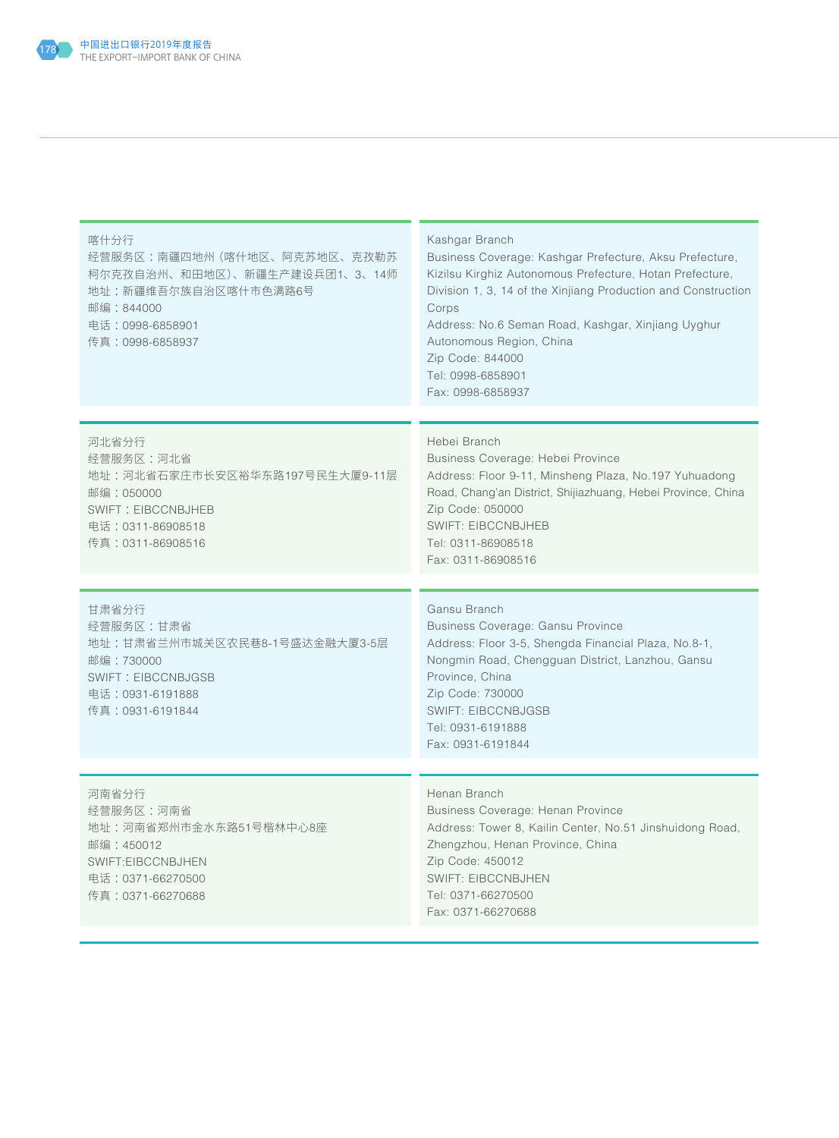

| 喀什分行<br>经营服务区:南疆四地州(喀什地区、阿克苏地区、克孜勒苏<br>柯尔克孜自治州、和田地区)、新疆生产建设兵团1、3、14师<br>地址:新疆维吾尔族自治区喀什市色满路6号<br>邮编:844000<br>电话: 0998-6858901<br>传真:0998-6858937 | Kashgar Branch<br>Business Coverage: Kashgar Prefecture, Aksu Prefecture,<br>Kizilsu Kirghiz Autonomous Prefecture, Hotan Prefecture,<br>Division 1, 3, 14 of the Xinjiang Production and Construction<br>Corps<br>Address: No.6 Seman Road, Kashgar, Xinjiang Uyghur<br>Autonomous Region, China<br>Zip Code: 844000<br>Tel: 0998-6858901<br>Fax: 0998-6858937 |
|--------------------------------------------------------------------------------------------------------------------------------------------------|-----------------------------------------------------------------------------------------------------------------------------------------------------------------------------------------------------------------------------------------------------------------------------------------------------------------------------------------------------------------|
| 河北省分行<br>经营服务区:河北省<br>地址:河北省石家庄市长安区裕华东路197号民生大厦9-11层<br>邮编:050000<br>SWIFT: EIBCCNBJHEB<br>电话: 0311-86908518<br>传真:0311-86908516                 | Hebei Branch<br>Business Coverage: Hebei Province<br>Address: Floor 9-11, Minsheng Plaza, No.197 Yuhuadong<br>Road, Chang'an District, Shijiazhuang, Hebei Province, China<br>Zip Code: 050000<br><b>SWIFT: EIBCCNBJHEB</b><br>Tel: 0311-86908518<br>Fax: 0311-86908516                                                                                         |
| 甘肃省分行<br>经营服务区:甘肃省<br>地址:甘肃省兰州市城关区农民巷8-1号盛达金融大厦3-5层<br>邮编: 730000<br><b>SWIFT: EIBCCNBJGSB</b><br>电话: 0931-6191888<br>传真: 0931-6191844           | Gansu Branch<br>Business Coverage: Gansu Province<br>Address: Floor 3-5, Shengda Financial Plaza, No.8-1,<br>Nongmin Road, Chengguan District, Lanzhou, Gansu<br>Province, China<br>Zip Code: 730000<br><b>SWIFT: EIBCCNBJGSB</b><br>Tel: 0931-6191888<br>Fax: 0931-6191844                                                                                     |
| 河南省分行<br>经营服务区:河南省<br>地址:河南省郑州市金水东路51号楷林中心8座<br>邮编: 450012<br>SWIFT:EIBCCNBJHEN<br>电话:0371-66270500<br>传真:0371-66270688                          | Henan Branch<br>Business Coverage: Henan Province<br>Address: Tower 8, Kailin Center, No.51 Jinshuidong Road,<br>Zhengzhou, Henan Province, China<br>Zip Code: 450012<br><b>SWIFT: EIBCCNBJHEN</b><br>Tel: 0371-66270500<br>Fax: 0371-66270688                                                                                                                  |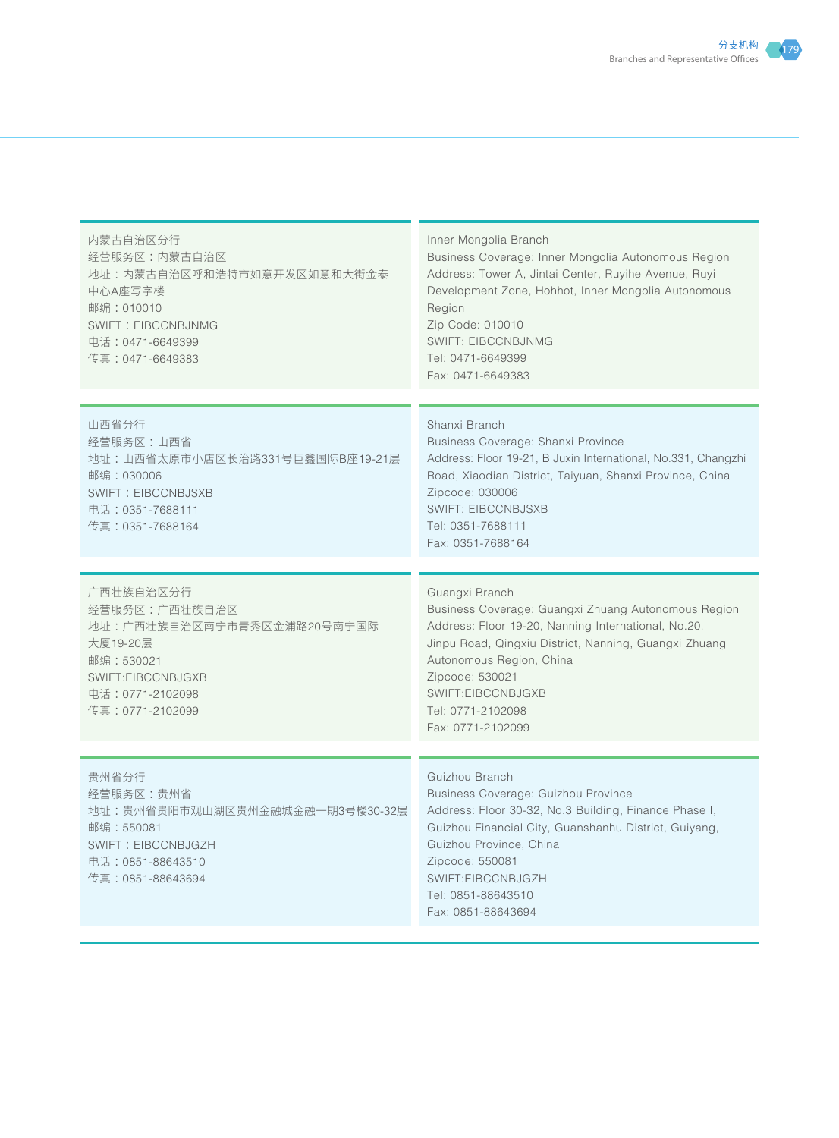| 内蒙古自治区分行<br>经营服务区:内蒙古自治区<br>地址:内蒙古自治区呼和浩特市如意开发区如意和大街金泰<br>中心A座写字楼<br>邮编: 010010<br><b>SWIFT: EIBCCNBJNMG</b><br>电话: 0471-6649399<br>传真:0471-6649383 | Inner Mongolia Branch<br>Business Coverage: Inner Mongolia Autonomous Region<br>Address: Tower A, Jintai Center, Ruyihe Avenue, Ruyi<br>Development Zone, Hohhot, Inner Mongolia Autonomous<br>Region<br>Zip Code: 010010<br><b>SWIFT: EIBCCNBJNMG</b><br>Tel: 0471-6649399<br>Fax: 0471-6649383    |
|-----------------------------------------------------------------------------------------------------------------------------------------------------|-----------------------------------------------------------------------------------------------------------------------------------------------------------------------------------------------------------------------------------------------------------------------------------------------------|
| 山西省分行<br>经营服务区:山西省<br>地址:山西省太原市小店区长治路331号巨鑫国际B座19-21层<br>邮编: 030006<br><b>SWIFT: EIBCCNBJSXB</b><br>电话: 0351-7688111<br>传真:0351-7688164             | Shanxi Branch<br>Business Coverage: Shanxi Province<br>Address: Floor 19-21, B Juxin International, No.331, Changzhi<br>Road, Xiaodian District, Taiyuan, Shanxi Province, China<br>Zipcode: 030006<br><b>SWIFT: EIBCCNBJSXB</b><br>Tel: 0351-7688111<br>Fax: 0351-7688164                          |
| 广西壮族自治区分行<br>经营服务区:广西壮族自治区<br>地址:广西壮族自治区南宁市青秀区金浦路20号南宁国际<br>大厦19-20层<br>邮编: 530021<br>SWIFT:EIBCCNBJGXB<br>电话: 0771-2102098<br>传真:0771-2102099      | Guangxi Branch<br>Business Coverage: Guangxi Zhuang Autonomous Region<br>Address: Floor 19-20, Nanning International, No.20,<br>Jinpu Road, Qingxiu District, Nanning, Guangxi Zhuang<br>Autonomous Region, China<br>Zipcode: 530021<br>SWIFT:EIBCCNBJGXB<br>Tel: 0771-2102098<br>Fax: 0771-2102099 |
| 贵州省分行<br>经营服务区:贵州省<br>地址:贵州省贵阳市观山湖区贵州金融城金融一期3号楼30-32层<br>邮编: 550081<br>SWIFT: EIBCCNBJGZH<br>电话:0851-88643510<br>传真:0851-88643694                   | Guizhou Branch<br>Business Coverage: Guizhou Province<br>Address: Floor 30-32, No.3 Building, Finance Phase I,<br>Guizhou Financial City, Guanshanhu District, Guiyang,<br>Guizhou Province, China<br>Zipcode: 550081<br>SWIFT:EIBCCNBJGZH<br>Tel: 0851-88643510<br>Fax: 0851-88643694              |

×.